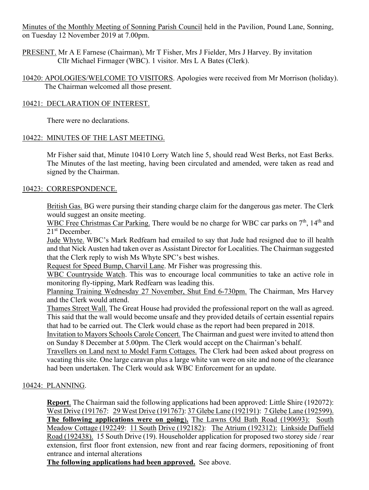Minutes of the Monthly Meeting of Sonning Parish Council held in the Pavilion, Pound Lane, Sonning, on Tuesday 12 November 2019 at 7.00pm.

PRESENT. Mr A E Farnese (Chairman), Mr T Fisher, Mrs J Fielder, Mrs J Harvey. By invitation Cllr Michael Firmager (WBC). 1 visitor. Mrs L A Bates (Clerk).

10420: APOLOGIES/WELCOME TO VISITORS. Apologies were received from Mr Morrison (holiday). The Chairman welcomed all those present.

# 10421: DECLARATION OF INTEREST.

There were no declarations.

# 10422: MINUTES OF THE LAST MEETING.

Mr Fisher said that, Minute 10410 Lorry Watch line 5, should read West Berks, not East Berks. The Minutes of the last meeting, having been circulated and amended, were taken as read and signed by the Chairman.

# 10423: CORRESPONDENCE.

British Gas. BG were pursing their standing charge claim for the dangerous gas meter. The Clerk would suggest an onsite meeting.

WBC Free Christmas Car Parking. There would be no charge for WBC car parks on  $7<sup>th</sup>$ , 14<sup>th</sup> and 21st December.

Jude Whyte. WBC's Mark Redfearn had emailed to say that Jude had resigned due to ill health and that Nick Austen had taken over as Assistant Director for Localities. The Chairman suggested that the Clerk reply to wish Ms Whyte SPC's best wishes.

Request for Speed Bump, Charvil Lane. Mr Fisher was progressing this.

WBC Countryside Watch. This was to encourage local communities to take an active role in monitoring fly-tipping, Mark Redfearn was leading this.

Planning Training Wednesday 27 November, Shut End 6-730pm. The Chairman, Mrs Harvey and the Clerk would attend.

Thames Street Wall. The Great House had provided the professional report on the wall as agreed. This said that the wall would become unsafe and they provided details of certain essential repairs that had to be carried out. The Clerk would chase as the report had been prepared in 2018.

Invitation to Mayors Schools Carole Concert. The Chairman and guest were invited to attend thon on Sunday 8 December at 5.00pm. The Clerk would accept on the Chairman's behalf.

Travellers on Land next to Model Farm Cottages. The Clerk had been asked about progress on vacating this site. One large caravan plus a large white van were on site and none of the clearance had been undertaken. The Clerk would ask WBC Enforcement for an update.

# 10424: PLANNING.

**Report**. The Chairman said the following applications had been approved: Little Shire (192072): West Drive (191767: 29 West Drive (191767): 37 Glebe Lane (192191): 7 Glebe Lane (192599). **The following applications were on going**)**.** The Lawns Old Bath Road (190693): South Meadow Cottage (192249: 11 South Drive (192182): The Atrium (192312): Linkside Duffield Road (192438). 15 South Drive (19). Householder application for proposed two storey side / rear extension, first floor front extension, new front and rear facing dormers, repositioning of front entrance and internal alterations

**The following applications had been approved.** See above.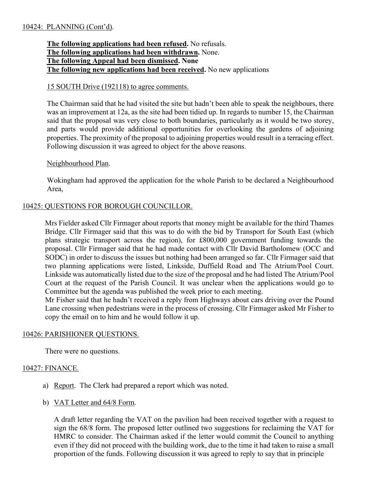## **The following applications had been refused.** No refusals. **The following applications had been withdrawn.** None. **The following Appeal had been dismissed. None The following new applications had been received.** No new applications

### 15 SOUTH Drive (192118) to agree comments.

The Chairman said that he had visited the site but hadn't been able to speak the neighbours, there was an improvement at 12a, as the site had been tidied up. In regards to number 15, the Chairman said that the proposal was very close to both boundaries, particularly as it would be two storey, and parts would provide additional opportunities for overlooking the gardens of adjoining properties. The proximity of the proposal to adjoining properties would result in a terracing effect. Following discussion it was agreed to object for the above reasons.

### Neighbourhood Plan.

Wokingham had approved the application for the whole Parish to be declared a Neighbourhood Area,

## 10425: QUESTIONS FOR BOROUGH COUNCILLOR.

Mrs Fielder asked Cllr Firmager about reports that money might be available for the third Thames Bridge. Cllr Firmager said that this was to do with the bid by Transport for South East (which plans strategic transport across the region), for £800,000 government funding towards the proposal. Cllr Firmager said that he had made contact with Cllr David Bartholomew (OCC and SODC) in order to discuss the issues but nothing had been arranged so far. Cllr Firmager said that two planning applications were listed, Linkside, Duffield Road and The Atrium/Pool Court. Linkside was automatically listed due to the size of the proposal and he had listed The Atrium/Pool Court at the request of the Parish Council. It was unclear when the applications would go to Committee but the agenda was published the week prior to each meeting.

Mr Fisher said that he hadn't received a reply from Highways about cars driving over the Pound Lane crossing when pedestrians were in the process of crossing. Cllr Firmager asked Mr Fisher to copy the email on to him and he would follow it up.

## 10426: PARISHIONER QUESTIONS.

There were no questions.

## 10427: FINANCE.

- a) Report. The Clerk had prepared a report which was noted.
- b) VAT Letter and 64/8 Form.

A draft letter regarding the VAT on the pavilion had been received together with a request to sign the 68/8 form. The proposed letter outlined two suggestions for reclaiming the VAT for HMRC to consider. The Chairman asked if the letter would commit the Council to anything even if they did not proceed with the building work, due to the time it had taken to raise a small proportion of the funds. Following discussion it was agreed to reply to say that in principle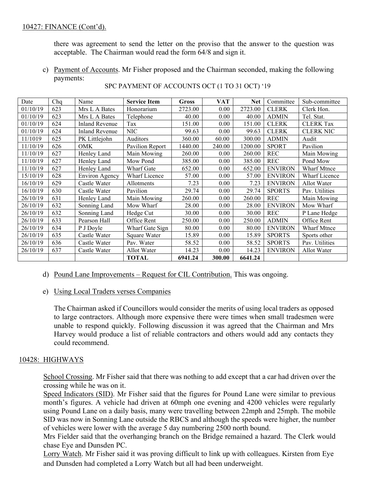there was agreement to send the letter on the proviso that the answer to the question was acceptable. The Chairman would read the form 64/8 and sign it.

c) Payment of Accounts. Mr Fisher proposed and the Chairman seconded, making the following payments:

| Date     | Chq | Name                  | <b>Service Item</b> | Gross   | VAT    | Net     | Committee      | Sub-committee        |
|----------|-----|-----------------------|---------------------|---------|--------|---------|----------------|----------------------|
| 01/10/19 | 623 | Mrs L A Bates         | Honorarium          | 2723.00 | 0.00   | 2723.00 | <b>CLERK</b>   | Clerk Hon.           |
| 01/10/19 | 623 | Mrs L A Bates         | Telephone           | 40.00   | 0.00   | 40.00   | <b>ADMIN</b>   | Tel. Stat.           |
| 01/10/19 | 624 | <b>Inland Revenue</b> | Tax                 | 151.00  | 0.00   | 151.00  | <b>CLERK</b>   | <b>CLERK Tax</b>     |
| 01/10/19 | 624 | Inland Revenue        | <b>NIC</b>          | 99.63   | 0.00   | 99.63   | <b>CLERK</b>   | <b>CLERK NIC</b>     |
| 11/1019  | 625 | PK Littlejohn         | Auditors            | 360.00  | 60.00  | 300.00  | <b>ADMIN</b>   | Audit                |
| 11/10/19 | 626 | <b>OMK</b>            | Pavilion Report     | 1440.00 | 240.00 | 1200.00 | <b>SPORT</b>   | Pavilion             |
| 11/10/19 | 627 | Henley Land           | Main Mowing         | 260.00  | 0.00   | 260.00  | <b>REC</b>     | Main Mowing          |
| 11/10/19 | 627 | Henley Land           | Mow Pond            | 385.00  | 0.00   | 385.00  | <b>REC</b>     | Pond Mow             |
| 11/10/19 | 627 | Henley Land           | Wharf Gate          | 652.00  | 0.00   | 652.00  | <b>ENVIRON</b> | Wharf Mtnce          |
| 15/10/19 | 628 | <b>Environ Agency</b> | Wharf Licence       | 57.00   | 0.00   | 57.00   | <b>ENVIRON</b> | <b>Wharf Licence</b> |
| 16/10/19 | 629 | Castle Water          | Allotments          | 7.23    | 0.00   | 7.23    | <b>ENVIRON</b> | Allot Water          |
| 16/10/19 | 630 | Castle Water          | Pavilion            | 29.74   | 0.00   | 29.74   | <b>SPORTS</b>  | Pav. Utilities       |
| 26/10/19 | 631 | Henley Land           | Main Mowing         | 260.00  | 0.00   | 260.00  | <b>REC</b>     | Main Mowing          |
| 26/10/19 | 632 | Sonning Land          | Mow Wharf           | 28.00   | 0.00   | 28.00   | <b>ENVIRON</b> | Mow Wharf            |
| 26/10/19 | 632 | Sonning Land          | Hedge Cut           | 30.00   | 0.00   | 30.00   | <b>REC</b>     | P Lane Hedge         |
| 26/10/19 | 633 | Pearson Hall          | Office Rent         | 250.00  | 0.00   | 250.00  | <b>ADMIN</b>   | Office Rent          |
| 26/10/19 | 634 | P J Doyle             | Wharf Gate Sign     | 80.00   | 0.00   | 80.00   | <b>ENVIRON</b> | Wharf Mtnce          |
| 26/10/19 | 635 | Castle Water          | Square Water        | 15.89   | 0.00   | 15.89   | <b>SPORTS</b>  | Sports other         |

26/10/19 636 | Castle Water | Pav. Water | 58.52 | 0.00 | 58.52 | SPORTS | Pav. Utilities 26/10/19 | 637 | Castle Water | Allot Water | 14.23 | 0.00 | 14.23 | ENVIRON | Allot Water

SPC PAYMENT OF ACCOUNTS OCT (1 TO 31 OCT) '19

d) Pound Lane Improvements - Request for CIL Contribution. This was ongoing.

#### e) Using Local Traders verses Companies

The Chairman asked if Councillors would consider the merits of using local traders as opposed to large contractors. Although more expensive there were times when small tradesmen were unable to respond quickly. Following discussion it was agreed that the Chairman and Mrs Harvey would produce a list of reliable contractors and others would add any contacts they could recommend.

**TOTAL 6941.24 300.00 6641.24**

### 10428: HIGHWAYS

School Crossing. Mr Fisher said that there was nothing to add except that a car had driven over the crossing while he was on it.

Speed Indicators (SID). Mr Fisher said that the figures for Pound Lane were similar to previous month's figures. A vehicle had driven at 60mph one evening and 4200 vehicles were regularly using Pound Lane on a daily basis, many were travelling between 22mph and 25mph. The mobile SID was now in Sonning Lane outside the RBCS and although the speeds were higher, the number of vehicles were lower with the average 5 day numbering 2500 north bound.

Mrs Fielder said that the overhanging branch on the Bridge remained a hazard. The Clerk would chase Eye and Dunsden PC.

Lorry Watch. Mr Fisher said it was proving difficult to link up with colleagues. Kirsten from Eye and Dunsden had completed a Lorry Watch but all had been underweight.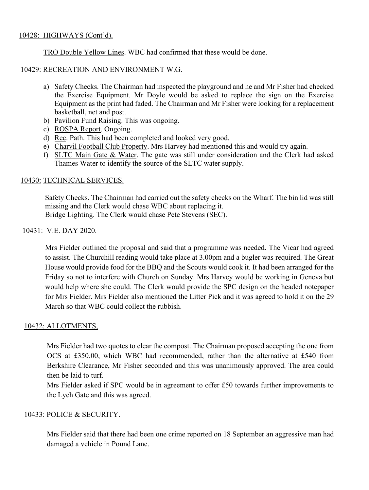### 10428: HIGHWAYS (Cont'd).

TRO Double Yellow Lines. WBC had confirmed that these would be done.

### 10429: RECREATION AND ENVIRONMENT W.G.

- a) Safety Checks. The Chairman had inspected the playground and he and Mr Fisher had checked the Exercise Equipment. Mr Doyle would be asked to replace the sign on the Exercise Equipment as the print had faded. The Chairman and Mr Fisher were looking for a replacement basketball, net and post.
- b) Pavilion Fund Raising. This was ongoing.
- c) ROSPA Report. Ongoing.
- d) Rec. Path. This had been completed and looked very good.
- e) Charvil Football Club Property. Mrs Harvey had mentioned this and would try again.
- f) SLTC Main Gate & Water. The gate was still under consideration and the Clerk had asked Thames Water to identify the source of the SLTC water supply.

### 10430: TECHNICAL SERVICES.

Safety Checks. The Chairman had carried out the safety checks on the Wharf. The bin lid was still missing and the Clerk would chase WBC about replacing it. Bridge Lighting. The Clerk would chase Pete Stevens (SEC).

### 10431: V.E. DAY 2020.

Mrs Fielder outlined the proposal and said that a programme was needed. The Vicar had agreed to assist. The Churchill reading would take place at 3.00pm and a bugler was required. The Great House would provide food for the BBQ and the Scouts would cook it. It had been arranged for the Friday so not to interfere with Church on Sunday. Mrs Harvey would be working in Geneva but would help where she could. The Clerk would provide the SPC design on the headed notepaper for Mrs Fielder. Mrs Fielder also mentioned the Litter Pick and it was agreed to hold it on the 29 March so that WBC could collect the rubbish.

### 10432: ALLOTMENTS,

Mrs Fielder had two quotes to clear the compost. The Chairman proposed accepting the one from OCS at £350.00, which WBC had recommended, rather than the alternative at £540 from Berkshire Clearance, Mr Fisher seconded and this was unanimously approved. The area could then be laid to turf.

Mrs Fielder asked if SPC would be in agreement to offer £50 towards further improvements to the Lych Gate and this was agreed.

### 10433: POLICE & SECURITY.

Mrs Fielder said that there had been one crime reported on 18 September an aggressive man had damaged a vehicle in Pound Lane.